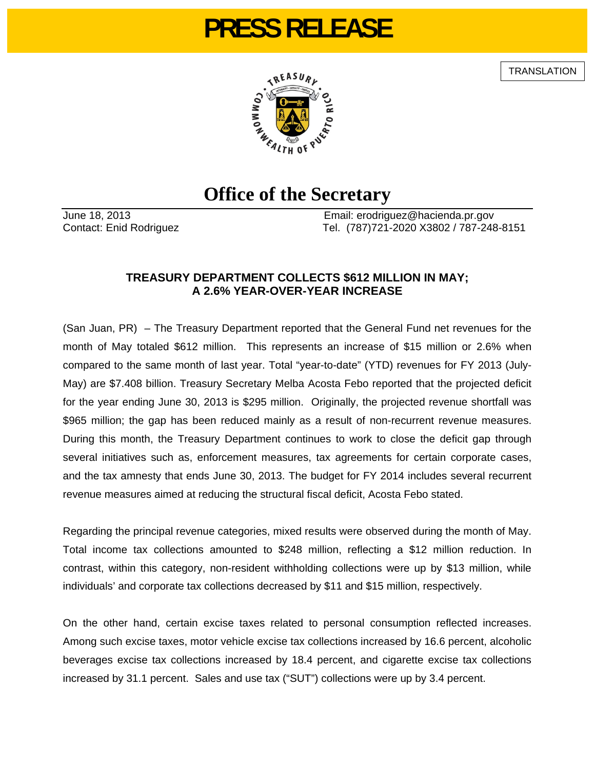## **PRESS RELEASE**

**TRANSLATION** 



## **Office of the Secretary**

June 18, 2013 Email: erodriguez@hacienda.pr.gov Contact: Enid Rodriguez Tel. (787)721-2020 X3802 / 787-248-8151

## **TREASURY DEPARTMENT COLLECTS \$612 MILLION IN MAY; A 2.6% YEAR-OVER-YEAR INCREASE**

(San Juan, PR) – The Treasury Department reported that the General Fund net revenues for the month of May totaled \$612 million. This represents an increase of \$15 million or 2.6% when compared to the same month of last year. Total "year-to-date" (YTD) revenues for FY 2013 (July-May) are \$7.408 billion. Treasury Secretary Melba Acosta Febo reported that the projected deficit for the year ending June 30, 2013 is \$295 million. Originally, the projected revenue shortfall was \$965 million; the gap has been reduced mainly as a result of non-recurrent revenue measures. During this month, the Treasury Department continues to work to close the deficit gap through several initiatives such as, enforcement measures, tax agreements for certain corporate cases, and the tax amnesty that ends June 30, 2013. The budget for FY 2014 includes several recurrent revenue measures aimed at reducing the structural fiscal deficit, Acosta Febo stated.

Regarding the principal revenue categories, mixed results were observed during the month of May. Total income tax collections amounted to \$248 million, reflecting a \$12 million reduction. In contrast, within this category, non-resident withholding collections were up by \$13 million, while individuals' and corporate tax collections decreased by \$11 and \$15 million, respectively.

On the other hand, certain excise taxes related to personal consumption reflected increases. Among such excise taxes, motor vehicle excise tax collections increased by 16.6 percent, alcoholic beverages excise tax collections increased by 18.4 percent, and cigarette excise tax collections increased by 31.1 percent. Sales and use tax ("SUT") collections were up by 3.4 percent.